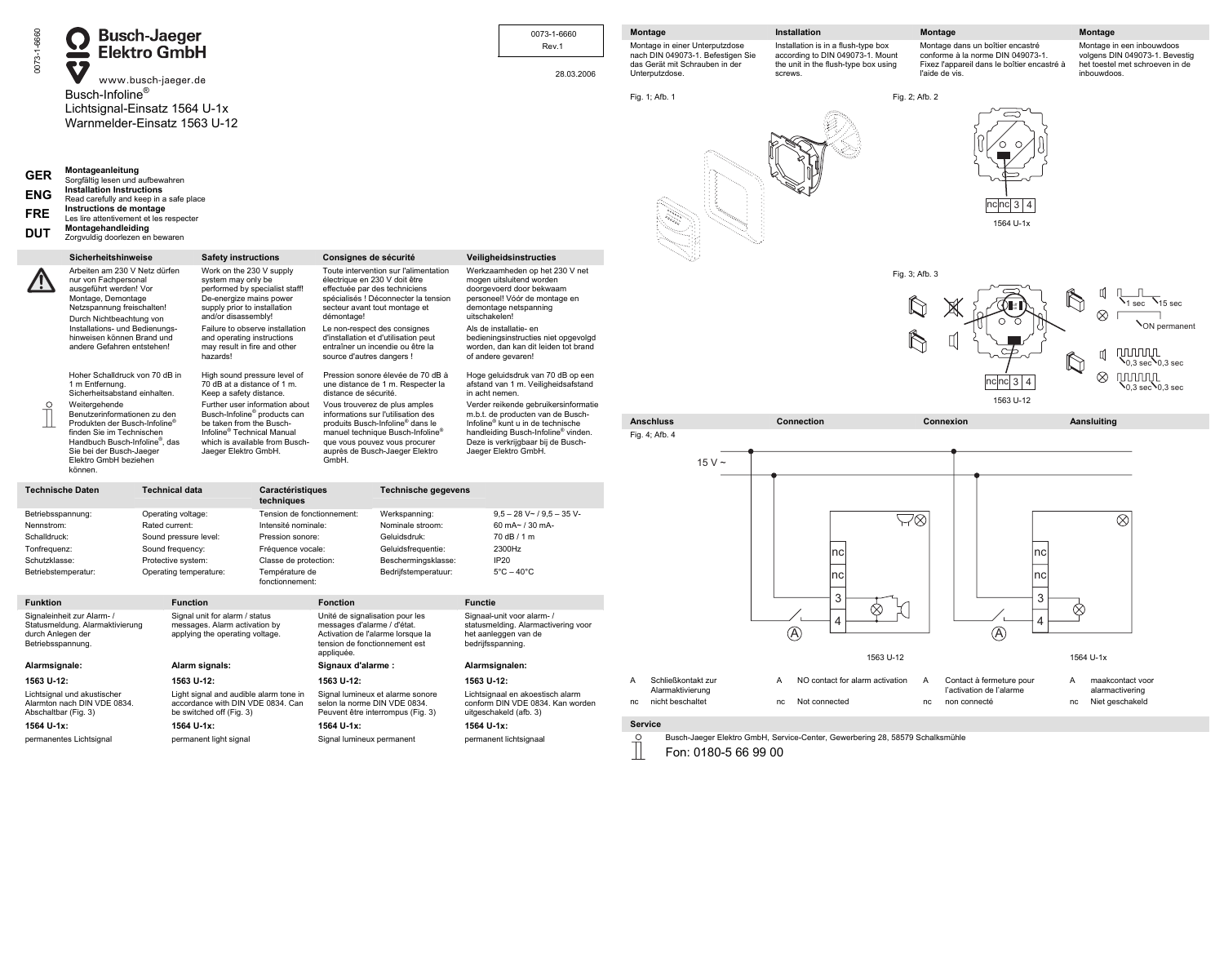| 0073-1-6660<br><b>GER</b><br><b>ENG</b><br><b>FRE</b><br><b>DUT</b>                                 | <b>Contract</b><br>S <sub>7</sub><br>Busch-Infoline <sup>®</sup><br>Lichtsignal-Einsatz 1564 U-1x<br>Warnmelder-Einsatz 1563 U-12<br>Montageanleitung<br>Sorgfältig lesen und aufbewahren<br><b>Installation Instructions</b><br>Read carefully and keep in a safe place<br>Instructions de montage<br>Les lire attentivement et les respecter<br>Montagehandleiding<br>Zorgvuldig doorlezen en bewaren | <b>Busch-Jaeger<br/>Elektro GmbH</b><br>www.busch-jaeger.de                                                                                          |                                                                                                                                                                                                                                                                                                                                                                                                         |                                                                                                                                                                        |                                                                                                                                                                                                                                                           |                                                                                                                                                                                                                                                                                                                                                                                                         | 0073-1-6660<br>Rev.1<br>28.03.2006                                                                                                                                                                                                                                                                                                                                                                                                                                | Montage<br>Montage in einer Unterputzdose<br>nach DIN 049073-1. Befestigen Sie<br>das Gerät mit Schrauben in der<br>Unterputzdose.<br>Fig. 1; Afb. 1 | Installation<br>Installation is in a flush-type box<br>according to DIN 049073-1. Mount<br>the unit in the flush-type box using<br>screws.                               | Montage<br>Montage dans un boîtier encastré<br>conforme à la norme DIN 049073-1.<br>Fixez l'appareil dans le boîtier encastré à<br>l'aide de vis.<br>Fig. 2; Afb. 2<br>nc nc 3 4<br>1564 U-1x | Montage<br>Montage in een inbouwdoos<br>volgens DIN 049073-1. Bevestig<br>het toestel met schroeven in de<br>inbouwdoos.                                                                                           |
|-----------------------------------------------------------------------------------------------------|---------------------------------------------------------------------------------------------------------------------------------------------------------------------------------------------------------------------------------------------------------------------------------------------------------------------------------------------------------------------------------------------------------|------------------------------------------------------------------------------------------------------------------------------------------------------|---------------------------------------------------------------------------------------------------------------------------------------------------------------------------------------------------------------------------------------------------------------------------------------------------------------------------------------------------------------------------------------------------------|------------------------------------------------------------------------------------------------------------------------------------------------------------------------|-----------------------------------------------------------------------------------------------------------------------------------------------------------------------------------------------------------------------------------------------------------|---------------------------------------------------------------------------------------------------------------------------------------------------------------------------------------------------------------------------------------------------------------------------------------------------------------------------------------------------------------------------------------------------------|-------------------------------------------------------------------------------------------------------------------------------------------------------------------------------------------------------------------------------------------------------------------------------------------------------------------------------------------------------------------------------------------------------------------------------------------------------------------|------------------------------------------------------------------------------------------------------------------------------------------------------|--------------------------------------------------------------------------------------------------------------------------------------------------------------------------|-----------------------------------------------------------------------------------------------------------------------------------------------------------------------------------------------|--------------------------------------------------------------------------------------------------------------------------------------------------------------------------------------------------------------------|
| <u>/!</u><br>$\circ$                                                                                | Sicherheitshinweise<br>Arbeiten am 230 V Netz dürfen<br>nur von Fachpersonal<br>ausgeführt werden! Vor<br>Montage, Demontage<br>Netzspannung freischalten!<br>Durch Nichtbeachtung von<br>Installations- und Bedienungs-<br>hinweisen können Brand und<br>andere Gefahren entstehen!<br>Hoher Schalldruck von 70 dB in<br>1 m Entfernung.<br>Sicherheitsabstand einhalten.<br>Weitergehende             |                                                                                                                                                      | <b>Safety instructions</b><br>Work on the 230 V supply<br>system may only be<br>performed by specialist staff!<br>De-energize mains power<br>supply prior to installation<br>and/or disassembly!<br>Failure to observe installation<br>and operating instructions<br>may result in fire and other<br>hazards!<br>High sound pressure level of<br>70 dB at a distance of 1 m.<br>Keep a safety distance. | Further user information about                                                                                                                                         | Consignes de sécurité<br>démontage!<br>source d'autres dangers !<br>distance de sécurité.                                                                                                                                                                 | Toute intervention sur l'alimentation<br>électrique en 230 V doit être<br>effectuée par des techniciens<br>spécialisés ! Déconnecter la tension<br>secteur avant tout montage et<br>Le non-respect des consignes<br>d'installation et d'utilisation peut<br>entraîner un incendie ou être la<br>Pression sonore élevée de 70 dB à<br>une distance de 1 m. Respecter la<br>Vous trouverez de plus amples | Veiligheidsinstructies<br>Werkzaamheden op het 230 V net<br>mogen uitsluitend worden<br>doorgevoerd door bekwaam<br>personeel! Vóór de montage en<br>demontage netspanning<br>uitschakelen!<br>Als de installatie- en<br>bedieningsinstructies niet opgevolgd<br>worden, dan kan dit leiden tot brand<br>of andere gevaren!<br>Hoge geluidsdruk van 70 dB op een<br>afstand van 1 m. Veiligheidsafstand<br>in acht nemen.<br>Verder reikende gebruikersinformatie |                                                                                                                                                      |                                                                                                                                                                          | Fig. 3; Afb. 3<br>⊖<br>A<br>nc nc 3 4<br>1563 U-12                                                                                                                                            | ħ<br>1 sec<br>$\otimes$<br><b>NON</b> permanent<br><b>MUNICIPLE</b><br>띠<br>$\mathbb{Q}$<br>$\lambda_{0,3\text{ sec}}$ $\lambda_{0,3\text{ sec}}$<br>$\otimes$<br><b>TUUUUT</b><br>$\cdot$ 0.3 sec $\cdot$ 0.3 sec |
|                                                                                                     | Benutzerinformationen zu den<br>Produkten der Busch-Infoline®<br>finden Sie im Technischen<br>Handbuch Busch-Infoline <sup>®</sup> , das<br>Sie bei der Busch-Jaeger<br>Elektro GmbH beziehen<br>können.<br><b>Technische Daten</b>                                                                                                                                                                     |                                                                                                                                                      | Busch-Infoline <sup>®</sup> products can<br>be taken from the Busch-<br>Infoline <sup>®</sup> Technical Manual<br>which is available from Busch-<br>Jaeger Elektro GmbH.<br><b>Technical data</b>                                                                                                                                                                                                       |                                                                                                                                                                        | informations sur l'utilisation des<br>produits Busch-Infoline <sup>®</sup> dans le<br>manuel technique Busch-Infoline <sup>®</sup><br>que vous pouvez vous procurer<br>auprès de Busch-Jaeger Elektro<br>GmbH.<br>Caractéristiques<br>Technische gegevens |                                                                                                                                                                                                                                                                                                                                                                                                         | m.b.t. de producten van de Busch-<br>Infoline <sup>®</sup> kunt u in de technische<br>handleiding Busch-Infoline <sup>®</sup> vinden.<br>Deze is verkrijgbaar bij de Busch-<br>Jaeger Elektro GmbH.                                                                                                                                                                                                                                                               | <b>Anschluss</b><br>Fig. 4; Afb. 4<br>$15V \sim$                                                                                                     | Connection<br>Aansluiting<br>Connexion                                                                                                                                   |                                                                                                                                                                                               |                                                                                                                                                                                                                    |
| Betriebsspannung:<br>Nennstrom:<br>Schalldruck:<br>Tonfrequenz:<br>Schutzklasse:<br><b>Funktion</b> | Betriebstemperatur:                                                                                                                                                                                                                                                                                                                                                                                     | Operating voltage:<br>Rated current:<br>Sound pressure level:<br>Sound frequency:<br>Protective system:<br>Operating temperature:<br><b>Function</b> |                                                                                                                                                                                                                                                                                                                                                                                                         | techniques<br>Tension de fonctionnement:<br>Intensité nominale:<br>Pression sonore:<br>Fréquence vocale:<br>Classe de protection:<br>Température de<br>fonctionnement: | <b>Fonction</b>                                                                                                                                                                                                                                           | Werkspanning:<br>Nominale stroom:<br>Geluidsdruk:<br>Geluidsfrequentie:<br>Beschermingsklasse:<br>Bedrijfstemperatuur:                                                                                                                                                                                                                                                                                  | $9,5 - 28$ V ~ $/ 9,5 - 35$ V-<br>60 mA~ / 30 mA-<br>70 dB / 1 m<br>2300Hz<br>IP <sub>20</sub><br>$5^{\circ}$ C – 40 $^{\circ}$ C<br><b>Functie</b>                                                                                                                                                                                                                                                                                                               |                                                                                                                                                      | nc<br>nc<br>3                                                                                                                                                            | $\nabla\otimes$<br>nc∣<br>nc <sub>l</sub><br>3                                                                                                                                                | $\otimes$<br>$\infty$                                                                                                                                                                                              |
| durch Anlegen der<br>Betriebsspannung.<br>Alarmsignale:<br>1563 U-12:<br>1564 U-1x:                 | Signaleinheit zur Alarm- /<br>Statusmeldung. Alarmaktivierung<br>Lichtsignal und akustischer<br>Alarmton nach DIN VDE 0834.<br>Abschaltbar (Fig. 3)<br>permanentes Lichtsignal                                                                                                                                                                                                                          | 1563 U-12:<br>1564 U-1x:                                                                                                                             | Signal unit for alarm / status<br>messages. Alarm activation by<br>applying the operating voltage.<br>Alarm signals:<br>Light signal and audible alarm tone in<br>accordance with DIN VDE 0834. Can<br>be switched off (Fig. 3)<br>permanent light signal                                                                                                                                               |                                                                                                                                                                        | Unité de signalisation pour les<br>messages d'alarme / d'état.<br>tension de fonctionnement est<br>appliquée.<br>Signaux d'alarme :<br>1563 U-12:<br>selon la norme DIN VDE 0834.<br>1564 U-1x:<br>Signal lumineux permanent                              | Activation de l'alarme lorsque la<br>Signal lumineux et alarme sonore<br>Peuvent être interrompus (Fig. 3)                                                                                                                                                                                                                                                                                              | Signaal-unit voor alarm- /<br>statusmelding. Alarmactivering voor<br>het aanleggen van de<br>bedrijfsspanning.<br>Alarmsignalen:<br>1563 U-12:<br>Lichtsignaal en akoestisch alarm<br>conform DIN VDE 0834. Kan worden<br>uitgeschakeld (afb. 3)<br>1564 U-1x:<br>permanent lichtsignaal                                                                                                                                                                          | Schließkontakt zur<br>A<br>Alarmaktivierung<br>nc nicht beschaltet<br>Service<br>$\frac{0}{11}$<br>Fon: 0180-5 66 99 00                              | $\circledA$<br>1563 U-12<br>NO contact for alarm activation<br>A<br>Not connected<br>nc<br>Busch-Jaeger Elektro GmbH, Service-Center, Gewerbering 28, 58579 Schalksmühle | $\circledA$<br>Contact à fermeture pour<br>A<br>l'activation de l'alarme<br>non connecté<br>nc                                                                                                | 1564 U-1x<br>maakcontact voor<br>A<br>alarmactivering<br>Niet geschakeld<br>nc                                                                                                                                     |